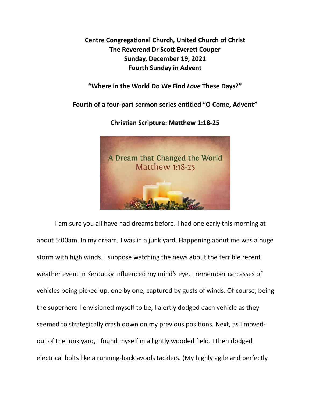**Centre Congregational Church, United Church of Christ The Reverend Dr Scott Everett Couper Sunday, December 19, 2021 Fourth Sunday in Advent** 

**"Where in the World Do We Find** *Love* **These Days?"** 

Fourth of a four-part sermon series entitled "O Come, Advent"



**Christian Scripture: Matthew 1:18-25** 

I am sure you all have had dreams before. I had one early this morning at about 5:00am. In my dream, I was in a junk yard. Happening about me was a huge storm with high winds. I suppose watching the news about the terrible recent weather event in Kentucky influenced my mind's eye. I remember carcasses of vehicles being picked-up, one by one, captured by gusts of winds. Of course, being the superhero I envisioned myself to be, I alertly dodged each vehicle as they seemed to strategically crash down on my previous positions. Next, as I movedout of the junk yard, I found myself in a lightly wooded field. I then dodged electrical bolts like a running-back avoids tacklers. (My highly agile and perfectly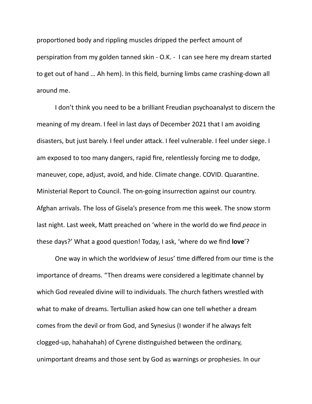proportioned body and rippling muscles dripped the perfect amount of perspiration from my golden tanned skin - O.K. - I can see here my dream started to get out of hand … Ah hem). In this field, burning limbs came crashing-down all around me.

 I don't think you need to be a brilliant Freudian psychoanalyst to discern the meaning of my dream. I feel in last days of December 2021 that I am avoiding disasters, but just barely. I feel under attack. I feel vulnerable. I feel under siege. I am exposed to too many dangers, rapid fire, relentlessly forcing me to dodge, maneuver, cope, adjust, avoid, and hide. Climate change. COVID. Quarantine. Ministerial Report to Council. The on-going insurrection against our country. Afghan arrivals. The loss of Gisela's presence from me this week. The snow storm last night. Last week, Matt preached on 'where in the world do we find *peace* in these days?' What a good question! Today, I ask, 'where do we find **love**'?

One way in which the worldview of Jesus' time differed from our time is the importance of dreams. "Then dreams were considered a legitimate channel by which God revealed divine will to individuals. The church fathers wrestled with what to make of dreams. Tertullian asked how can one tell whether a dream comes from the devil or from God, and Synesius (I wonder if he always felt clogged-up, hahahahah) of Cyrene distinguished between the ordinary, unimportant dreams and those sent by God as warnings or prophesies. In our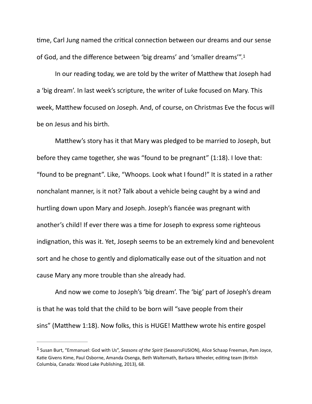<span id="page-2-1"></span>time, Carl Jung named the critical connection between our dreams and our sense of God, and the difference between 'big dreams' and 'smaller dreams'".[1](#page-2-0)

In our reading today, we are told by the writer of Matthew that Joseph had a 'big dream'. In last week's scripture, the writer of Luke focused on Mary. This week, Matthew focused on Joseph. And, of course, on Christmas Eve the focus will be on Jesus and his birth.

Matthew's story has it that Mary was pledged to be married to Joseph, but before they came together, she was "found to be pregnant" (1:18). I love that: "found to be pregnant". Like, "Whoops. Look what I found!" It is stated in a rather nonchalant manner, is it not? Talk about a vehicle being caught by a wind and hurtling down upon Mary and Joseph. Joseph's fiancée was pregnant with another's child! If ever there was a time for Joseph to express some righteous indignation, this was it. Yet, Joseph seems to be an extremely kind and benevolent sort and he chose to gently and diplomatically ease out of the situation and not cause Mary any more trouble than she already had.

 And now we come to Joseph's 'big dream'. The 'big' part of Joseph's dream is that he was told that the child to be born will "save people from their sins" (Matthew 1:18). Now folks, this is HUGE! Matthew wrote his entire gospel

<span id="page-2-0"></span><sup>&</sup>lt;sup>[1](#page-2-1)</sup> Susan Burt, "Emmanuel: God with Us", *Seasons of the Spirit* (SeasonsFUSION), Alice Schaap Freeman, Pam Joyce, Katie Givens Kime, Paul Osborne, Amanda Osenga, Beth Waltemath, Barbara Wheeler, editing team (British Columbia, Canada: Wood Lake Publishing, 2013), 68.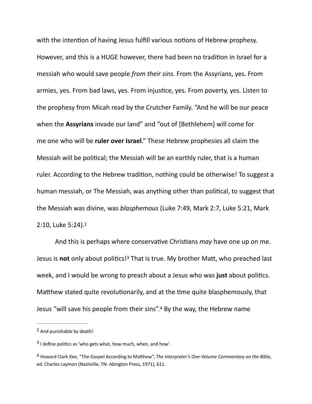with the intention of having Jesus fulfill various notions of Hebrew prophesy. However, and this is a HUGE however, there had been no tradition in Israel for a messiah who would save people *from their sins*. From the Assyrians, yes. From armies, yes. From bad laws, yes. From injustice, yes. From poverty, yes. Listen to the prophesy from Micah read by the Crutcher Family. "And he will be our peace when the **Assyrians** invade our land" and "out of [Bethlehem] will come for me one who will be **ruler over Israel**." These Hebrew prophesies all claim the Messiah will be political; the Messiah will be an earthly ruler, that is a human ruler. According to the Hebrew tradition, nothing could be otherwise! To suggest a human messiah, or The Messiah, was anything other than political, to suggest that the Messiah was divine, was *blasphemous* (Luke 7:49, Mark 2:7, Luke 5:21, Mark 2:10, Luke 5:24).[2](#page-3-0)

<span id="page-3-4"></span><span id="page-3-3"></span>And this is perhaps where conservative Christians *may* have one up on me. Jesusis not only about politics!<sup>[3](#page-3-1)</sup> That is true. My brother Matt, who preached last week, and I would be wrong to preach about a Jesus who was just about politics. Matthew stated quite revolutionarily, and at the time quite blasphemously, that Jesus"will save his people from their sins".<sup>[4](#page-3-2)</sup> By the way, the Hebrew name

<span id="page-3-5"></span><span id="page-3-0"></span><sup>&</sup>lt;sup>[2](#page-3-3)</sup> And punishable by death!

<span id="page-3-1"></span> $3$  I define politics as 'who gets what, how much, when, and how'.

<span id="page-3-2"></span><sup>&</sup>lt;sup>[4](#page-3-5)</sup> Howard Clark Kee, "The Gospel According to Matthew", *The Interpreter's One-Volume Commentary on the Bible*, ed. Charles Laymon (Nashville, TN: Abington Press, 1971), 611.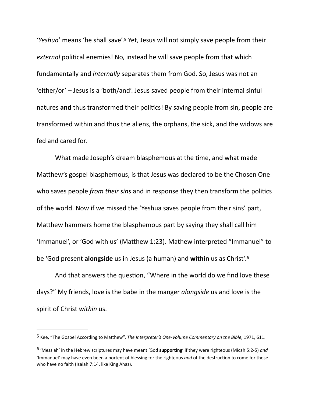<span id="page-4-2"></span>'Yeshua' means 'he shall save'[.](#page-4-0)<sup>[5](#page-4-0)</sup> Yet, Jesus will not simply save people from their *external* political enemies! No, instead he will save people from that which fundamentally and *internally* separates them from God. So, Jesus was not an 'either/or' – Jesus is a 'both/and'. Jesus saved people from their internal sinful natures and thus transformed their politics! By saving people from sin, people are transformed within and thus the aliens, the orphans, the sick, and the widows are fed and cared for.

What made Joseph's dream blasphemous at the time, and what made Matthew's gospel blasphemous, is that Jesus was declared to be the Chosen One who saves people *from their sins* and in response they then transform the politics of the world. Now if we missed the 'Yeshua saves people from their sins' part, Matthew hammers home the blasphemous part by saying they shall call him 'Immanuel', or 'God with us' (Matthew 1:23). Mathew interpreted "Immanuel" to be 'God present **alongside** us in Jesus (a human) and **within** us as Christ'[.6](#page-4-1)

<span id="page-4-3"></span>And that answers the question, "Where in the world do we find love these days?" My friends, love is the babe in the manger *alongside* us and love is the spirit of Christ *within* us.

<span id="page-4-0"></span><sup>&</sup>lt;sup>[5](#page-4-2)</sup> Kee, "The Gospel According to Matthew", *The Interpreter's One-Volume Commentary on the Bible*, 1971, 611.

<span id="page-4-1"></span><sup>&</sup>lt;sup>[6](#page-4-3)</sup> 'Messiah' in the Hebrew scriptures may have meant 'God **supporting**' if they were righteous (Micah 5:2-5) *and* 'Immanuel' may have even been a portent of blessing for the righteous *and* of the destruction to come for those who have no faith (Isaiah 7:14, like King Ahaz).